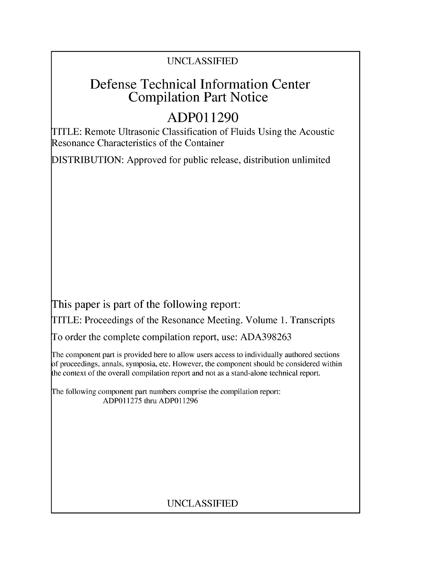## UNCLASSIFIED

# Defense Technical Information Center Compilation Part Notice

# **ADPO 11290**

TITLE: Remote Ultrasonic Classification of Fluids Using the Acoustic Resonance Characteristics of the Container

DISTRIBUTION: Approved for public release, distribution unlimited

This paper is part of the following report:

TITLE: Proceedings of the Resonance Meeting. Volume 1. Transcripts

To order the complete compilation report, use: ADA398263

The component part is provided here to allow users access to individually authored sections f proceedings, annals, symposia, etc. However, the component should be considered within [he context of the overall compilation report and not as a stand-alone technical report.

The following component part numbers comprise the compilation report: ADP011275 thru ADP011296

## UNCLASSIFIED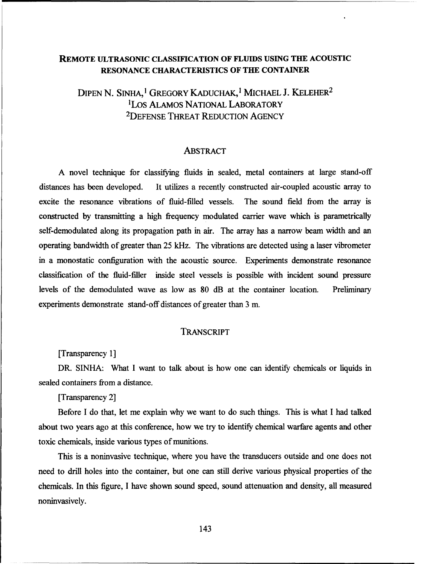### REMOTE **ULTRASONIC** CLASSIFICATION OF **FLUIDS USING THE ACOUSTIC RESONANCE** CHARACTERISTICS OF THE CONTAINER

DIPEN N. SINHA,<sup>1</sup> GREGORY KADUCHAK,<sup>1</sup> MICHAEL J. KELEHER<sup>2</sup> ILos ALAMOS NATIONAL LABORATORY 2DEFENSE THREAT REDUCTION AGENCY

#### **ABSTRACT**

A novel technique for classifying fluids in sealed, metal containers at large stand-off distances has been developed. It utilizes a recently constructed air-coupled acoustic array to excite the resonance vibrations of fluid-filled vessels. The sound field from the array is constructed by transmitting a high frequency modulated carrier wave which is parametrically self-demodulated along its propagation path in air. The array has a narrow beam width and an operating bandwidth of greater than 25 kHz. The vibrations are detected using a laser vibrometer in a monostatic configuration with the acoustic source. Experiments demonstrate resonance classification of the fluid-filler inside steel vessels is possible with incident sound pressure levels of the demodulated wave as low as 80 dB at the container location. Preliminary experiments demonstrate stand-off distances of greater than 3 m.

#### TRANSCRIPT

[Transparency 1]

DR. SINHA: What I want to talk about is how one can identify chemicals or liquids in sealed containers from a distance.

[Transparency 2]

Before I do that, let me explain why we want to do such things. This is what I had talked about two years ago at this conference, how we try to identify chemical warfare agents and other toxic chemicals, inside various types of munitions.

This is a noninvasive technique, where you have the transducers outside and one does not need to drill holes into the container, but one can still derive various physical properties of the chemicals. In this figure, I have shown sound speed, sound attenuation and density, all measured noninvasively.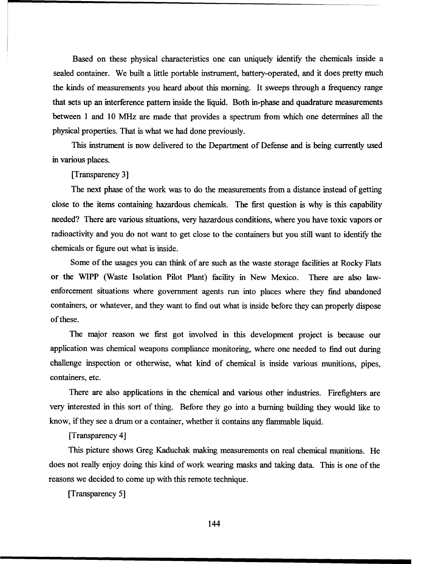Based on these physical characteristics one can uniquely identify the chemicals inside a sealed container. We built a little portable instrument, battery-operated, and it does pretty much the kinds of measurements you heard about this morning. It sweeps through a frequency range that sets up an interference pattern inside the liquid. Both in-phase and quadrature measurements between **I** and 10 MHz are made that provides a spectrum from which one determines all the physical properties. That is what we had done previously.

This instrument is now delivered to the Department of Defense and is being currently used in various places.

[Transparency 3]

The next phase of the work was to do the measurements from a distance instead of getting close to the items containing hazardous chemicals. The first question is why is this capability needed? There are various situations, very hazardous conditions, where you have toxic vapors or radioactivity and you do not want to get close to the containers but you still want to identify the chemicals or figure out what is inside.

Some of the usages you can think of are such as the waste storage facilities at Rocky Flats or the WIPP (Waste Isolation Pilot Plant) facility in New Mexico. There are also lawenforcement situations where government agents run into places where they find abandoned containers, or whatever, and they want to find out what is inside before they can properly dispose of these.

The major reason we first got involved in this development project is because our application was chemical weapons compliance monitoring, where one needed to find out during challenge inspection or otherwise, what kind of chemical is inside various munitions, pipes, containers, etc.

There are also applications in the chemical and various other industries. Firefighters are very interested in this sort of thing. Before they go into a burning building they would like to know, if they see a drum or a container, whether it contains any flammable liquid.

[Transparency 4]

This picture shows Greg Kaduchak making measurements on real chemical munitions. He does not really enjoy doing this kind of work wearing masks and taking data. This is one of the reasons we decided to come up with this remote technique.

[Transparency *5]*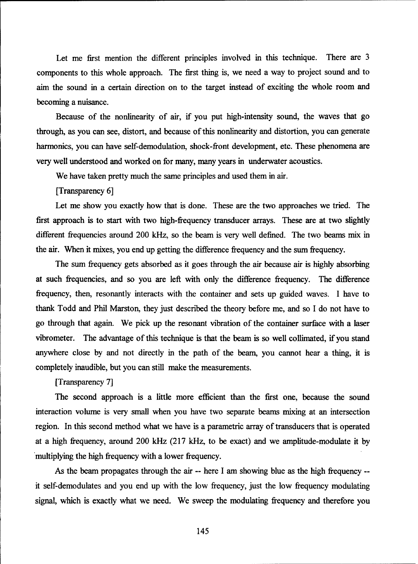Let me first mention the different principles involved in this technique. There are 3 components to this whole approach. The first thing is, we need a way to project sound and to aim the sound in a certain direction on to the target instead of exciting the whole room and becoming a nuisance.

Because of the nonlinearity of air, if you put high-intensity sound, the waves that go through, as you can see, distort, and because of this nonlinearity and distortion, you can generate harmonics, you can have self-demodulation, shock-front development, etc. These phenomena are very well understood and worked on for many, many years in underwater acoustics.

We have taken pretty much the same principles and used them in air.

[Transparency 6]

Let me show you exactly how that is done. These are the two approaches we tried. The first approach is to start with two high-frequency transducer arrays. These are at two slightly different frequencies around 200 kHz, so the beam is very well defined. The two beams mix in the air. When it mixes, you end up getting the difference frequency and the sum frequency.

The sum frequency gets absorbed as it goes through the air because air is highly absorbing at such frequencies, and so you are left with only the difference frequency. The difference frequency, then, resonantly interacts with the container and sets up guided waves. I have to thank Todd and Phil Marston, they just described the theory before me, and so I do not have to go through that again. We pick up the resonant vibration of the container surface with a laser vibrometer. The advantage of this technique is that the beam is so well collimated, if you stand anywhere close by and not directly in the path of the beam, you cannot hear a thing, it is completely inaudible, but you can still make the measurements.

[Transparency 7]

The second approach is a little more efficient than the first one, because the sound interaction volume is very small when you have two separate beams mixing at an intersection region. In this second method what we have is a parametric array of transducers that is operated at a high frequency, around 200 kHz (217 kHz, to be exact) and we amplitude-modulate it by multiplying the high frequency with a lower frequency.

As the beam propagates through the air -- here I am showing blue as the high frequency - it self-demodulates and you end up with the low frequency, just the low frequency modulating signal, which is exactly what we need. We sweep the modulating frequency and therefore you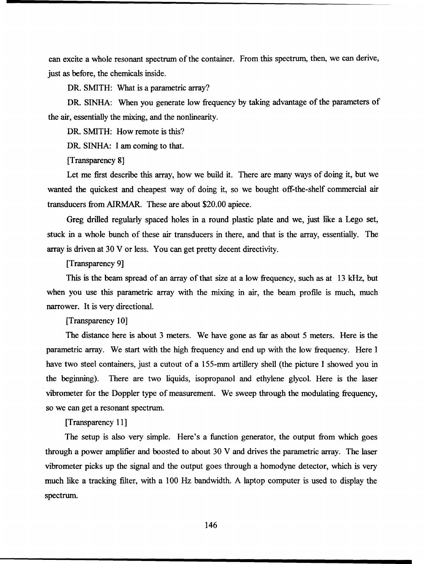can excite a whole resonant spectrum of the container. From this spectrum, then, we can derive, just as before, the chemicals inside.

DR. SMITH: What is a parametric array?

DR. SINHA: When you generate low frequency by taking advantage of the parameters of the air, essentially the mixing, and the nonlinearity.

DR. SMITH: How remote is this?

DR. SINHA: I am coming to that.

[Transparency 8]

Let me first describe this array, how we build it. There are many ways of doing it, but we wanted the quickest and cheapest way of doing it, so we bought off-the-shelf commercial air transducers from AIRMAR. These are about \$20.00 apiece.

Greg drilled regularly spaced holes in a round plastic plate and we, just like a Lego set, stuck in a whole bunch of these air transducers in there, and that is the array, essentially. The array is driven at 30 V or less. You can get pretty decent directivity.

### [Transparency 9]

This is the beam spread of an array of that size at a low frequency, such as at 13 kHz, but when you use this parametric array with the mixing in air, the beam profile is much, much narrower. It is very directional.

[Transparency 10]

The distance here is about 3 meters. We have gone as far as about 5 meters. Here is the parametric array. We start with the high frequency and end up with the low frequency. Here I have two steel containers, just a cutout of a 155-mm artillery shell (the picture I showed you in the beginning). There are two liquids, isopropanol and ethylene glycol. Here is the laser vibrometer for the Doppler type of measurement. We sweep through the modulating frequency, so we can get a resonant spectrum.

[Transparency 11]

The setup is also very simple. Here's a function generator, the output from which goes through a power amplifier and boosted to about 30 V and drives the parametric array. The laser vibrometer picks up the signal and the output goes through a homodyne detector, which is very much like a tracking filter, with a 100 Hz bandwidth. A laptop computer is used to display the spectrum.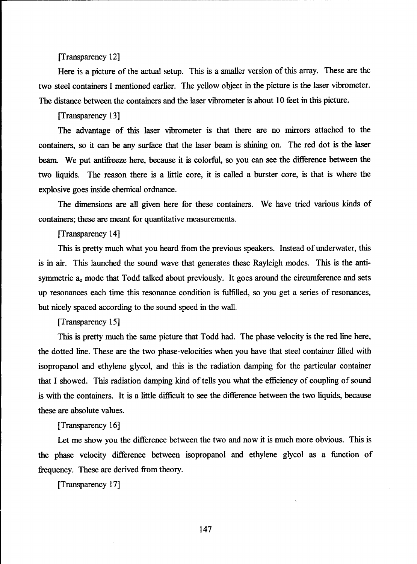[Transparency 12]

Here is a picture of the actual setup. This is a smaller version of this array. These are the two steel containers I mentioned earlier. The yellow object in the picture is the laser vibrometer. The distance between the containers and the laser vibrometer is about 10 feet in this picture.

[Transparency 13]

The advantage of this laser vibrometer is that there are no mirrors attached to the containers, so it can be any surface that the laser beam is shining on. The red dot is the laser beam. We put antifreeze here, because it is colorful, so you can see the difference between the two liquids. The reason there is a little core, it is called a burster core, is that is where the explosive goes inside chemical ordnance.

The dimensions are all given here for these containers. We have tried various kinds of containers; these are meant for quantitative measurements.

[Transparency 14]

This is pretty much what you heard from the previous speakers. Instead of underwater, this is in air. This launched the sound wave that generates these Rayleigh modes. This is the antisymmetric  $a_0$  mode that Todd talked about previously. It goes around the circumference and sets up resonances each time this resonance condition is fulfilled, so you get a series of resonances, but nicely spaced according to the sound speed in the wall.

[Transparency 15]

This is pretty much the same picture that Todd had. The phase velocity is the red line here, the dotted line. These are the two phase-velocities when you have that steel container filled with isopropanol and ethylene glycol, and this is the radiation damping for the particular container that I showed. This radiation damping kind of tells you what the efficiency of coupling of sound is with the containers. It is a little difficult to see the difference between the two liquids, because these are absolute values.

[Transparency 16]

Let me show you the difference between the two and now it is much more obvious. This is the phase velocity difference between isopropanol and ethylene glycol as a function of frequency. These are derived from theory.

[Transparency 17]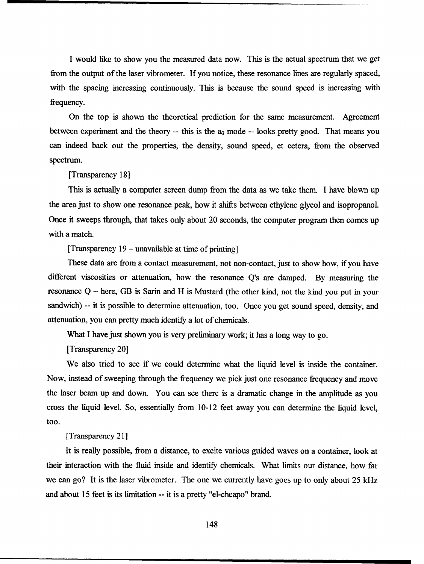I would like to show you the measured data now. This is the actual spectrum that we get from the output of the laser vibrometer. If you notice, these resonance lines are regularly spaced, with the spacing increasing continuously. This is because the sound speed is increasing with frequency.

On the top is shown the theoretical prediction for the same measurement. Agreement between experiment and the theory  $-$ - this is the  $a_0$  mode  $-$ - looks pretty good. That means you can indeed back out the properties, the density, sound speed, et cetera, from the observed spectrum.

[Transparency 18]

This is actually a computer screen dump from the data as we take them. I have blown up the area just to show one resonance peak, how it shifts between ethylene glycol and isopropanol. Once it sweeps through, that takes only about 20 seconds, the computer program then comes up with a match.

[Transparency  $19$  – unavailable at time of printing]

These data are from a contact measurement, not non-contact, just to show how, if you have different viscosities or attenuation, how the resonance Q's are damped. By measuring the resonance  $Q$  – here, GB is Sarin and H is Mustard (the other kind, not the kind you put in your sandwich) -- it is possible to determine attenuation, too. Once you get sound speed, density, and attenuation, you can pretty much identify a lot of chemicals.

What I have just shown you is very preliminary work; it has a long way to go.

[Transparency 20]

We also tried to see if we could determine what the liquid level is inside the container. Now, instead of sweeping through the frequency we pick just one resonance frequency and move the laser beam up and down. You can see there is a dramatic change in the amplitude as you cross the liquid level. So, essentially from 10-12 feet away you can determine the liquid level, too.

[Transparency 21]

It is really possible, from a distance, to excite various guided waves on a container, look at their interaction with the fluid inside and identify chemicals. What limits our distance, how far we can go? It is the laser vibrometer. The one we currently have goes up to only about 25 kHz and about 15 feet is its limitation -- it is a pretty "el-cheapo" brand.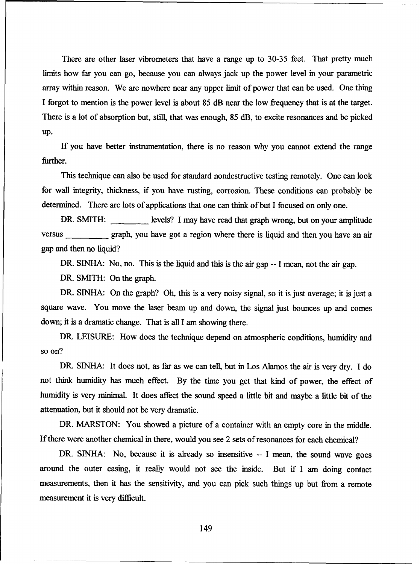There are other laser vibrometers that have a range up to 30-35 feet. That pretty much limits how far you can go, because you can always jack up the power level in your parametric array within reason. We are nowhere near any upper limit of power that can be used. One thing I forgot to mention is the power level is about 85 dB near the low frequency that is at the target. There is a lot of absorption but, still, that was enough, 85 dB, to excite resonances and be picked up.

If you have better instrumentation, there is no reason why you cannot extend the range further.

This technique can also be used for standard nondestructive testing remotely. One can look for wall integrity, thickness, if you have rusting, corrosion. These conditions can probably be determined. There are lots of applications that one can think of but I focused on only one.

DR. SMITH: levels? I may have read that graph wrong, but on your amplitude versus graph, you have got a region where there is liquid and then you have an air gap and then no liquid?

DR. SINHA: No, no. This is the liquid and this is the air gap -- I mean, not the air gap.

DR. SMITH: On the graph.

DR. SINHA: On the graph? Oh, this is a very noisy signal, so it is just average; it is just a square wave. You move the laser beam up and down, the signal just bounces up and comes down; it is a dramatic change. That is all I am showing there.

DR. LEISURE: How does the technique depend on atmospheric conditions, humidity and so on?

DR. SINHA: It does not, as far as we can tell, but in Los Alamos the air is very dry. I do not think humidity has much effect. By the time you get that kind of power, the effect of humidity is very minimal. It does affect the sound speed a little bit and maybe a little bit of the attenuation, but it should not be very dramatic.

DR. MARSTON: You showed a picture of a container with an empty core in the middle. If there were another chemical in there, would you see 2 sets of resonances for each chemical?

DR. SINHA: No, because it is already so insensitive -- I mean, the sound wave goes around the outer casing, it really would not see the inside. But if I am doing contact measurements, then it has the sensitivity, and you can pick such things up but from a remote measurement it is very difficult.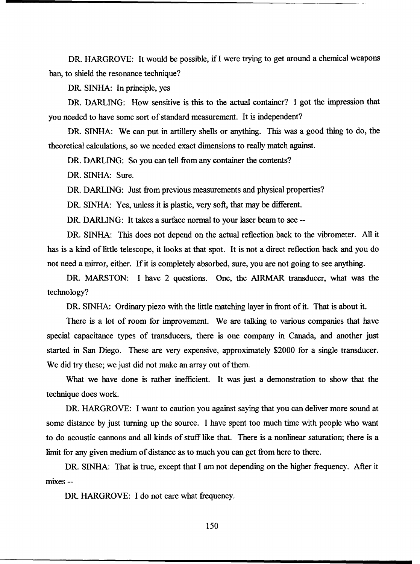DR. HARGROVE: It would be possible, if I were trying to get around a chemical weapons ban, to shield the resonance technique?

DR. SINHA: In principle, yes

DR. DARLING: How sensitive is this to the actual container? I got the impression that you needed to have some sort of standard measurement. It is independent?

DR. SINHA: We can put in artillery shells or anything. This was a good thing to do, the theoretical calculations, so we needed exact dimensions to really match against.

DR. DARLING: So you can tell from any container the contents?

DR. SINHA: Sure.

DR. DARLING: Just from previous measurements and physical properties?

DR. SINHA: Yes, unless it is plastic, very soft, that may be different.

DR. DARLING: It takes a surface normal to your laser beam to see --

DR. SINHA: This does not depend on the actual reflection back to the vibrometer. All it has is a kind of little telescope, it looks at that spot. It is not a direct reflection back and you do not need a mirror, either. If it is completely absorbed, sure, you are not going to see anything.

DR. MARSTON: I have 2 questions. One, the AIRMAR transducer, what was the technology?

DR. SINHA: Ordinary piezo with the little matching layer in front of it. That is about it.

There is a lot of room for improvement. We are talking to various companies that have special capacitance types of transducers, there is one company in Canada, and another just started in San Diego. These are very expensive, approximately \$2000 for a single transducer. We did try these; we just did not make an array out of them.

What we have done is rather inefficient. It was just a demonstration to show that the technique does work.

DR. HARGROVE: I want to caution you against saying that you can deliver more sound at some distance by just turning up the source. I have spent too much time with people who want to do acoustic cannons and all kinds of stuff like that. There is a nonlinear saturation; there is a limit for any given medium of distance as to much you can get from here to there.

DR. SINHA: That is true, except that I am not depending on the higher frequency. After it mixes --

DR. HARGROVE: I do not care what frequency.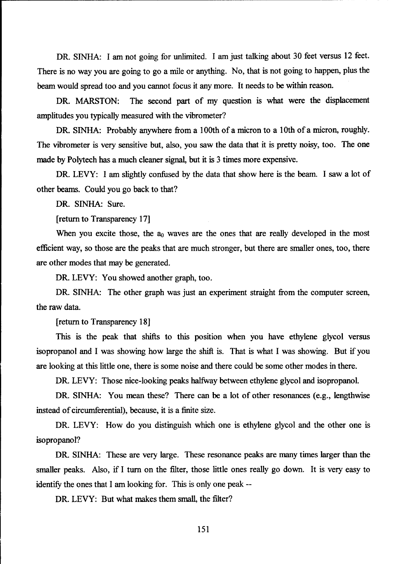DR. SINHA: I am not going for unlimited. I am just talking about 30 feet versus 12 feet. There is no way you are going to go a mile or anything. No, that is not going to happen, plus the beam would spread too and you cannot focus it any more. It needs to be within reason.

DR. MARSTON: The second part of my question is what were the displacement amplitudes you typically measured with the vibrometer?

DR. SINHA: Probably anywhere from a 100th of a micron to a 10th of a micron, roughly. The vibrometer is very sensitive but, also, you saw the data that it is pretty noisy, too. The one made by Polytech has a much cleaner signal, but it is 3 times more expensive.

DR. LEVY: I am slightly confused by the data that show here is the beam. I saw a lot of other beams. Could you go back to that?

DR. SINHA: Sure.

[return to Transparency 17]

When you excite those, the  $a_0$  waves are the ones that are really developed in the most efficient way, so those are the peaks that are much stronger, but there are smaller ones, too, there are other modes that may be generated.

DR. LEVY: You showed another graph, too.

DR. SINHA: The other graph was just an experiment straight from the computer screen, the raw data.

[return to Transparency 18]

This is the peak that shifts to this position when you have ethylene glycol versus isopropanol and I was showing how large the shift is. That is what I was showing. But if you are looking at this little one, there is some noise and there could be some other modes in there.

DR. LEVY: Those nice-looking peaks halfway between ethylene glycol and isopropanol.

DR. SINHA: You mean these? There can be a lot of other resonances (e.g., lengthwise instead of circumferential), because, it is a finite size.

DR. LEVY: How do you distinguish which one is ethylene glycol and the other one is isopropanol?

DR. SINHA: These are very large. These resonance peaks are many times larger than the smaller peaks. Also, if I turn on the filter, those little ones really go down. It is very easy to identify the ones that I am looking for. This is only one peak --

DR. LEVY: But what makes them small, the filter?